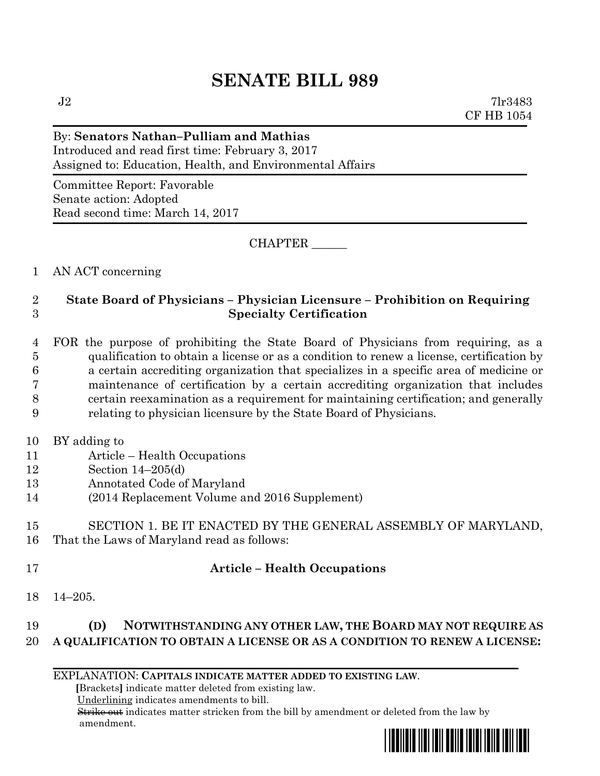## **SENATE BILL 989**

 $J2$  7lr3483 CF HB 1054

#### By: **Senators Nathan–Pulliam and Mathias**

Introduced and read first time: February 3, 2017 Assigned to: Education, Health, and Environmental Affairs

Committee Report: Favorable Senate action: Adopted Read second time: March 14, 2017

CHAPTER \_\_\_\_\_\_

#### 1 AN ACT concerning

### 2 **State Board of Physicians – Physician Licensure – Prohibition on Requiring**  3 **Specialty Certification**

 FOR the purpose of prohibiting the State Board of Physicians from requiring, as a qualification to obtain a license or as a condition to renew a license, certification by a certain accrediting organization that specializes in a specific area of medicine or maintenance of certification by a certain accrediting organization that includes certain reexamination as a requirement for maintaining certification; and generally relating to physician licensure by the State Board of Physicians.

- 10 BY adding to
- 11 Article Health Occupations
- 12 Section 14–205(d)
- 13 Annotated Code of Maryland
- 14 (2014 Replacement Volume and 2016 Supplement)

# 15 SECTION 1. BE IT ENACTED BY THE GENERAL ASSEMBLY OF MARYLAND,

16 That the Laws of Maryland read as follows:

### 17 **Article – Health Occupations**

18 14–205.

## 19 **(D) NOTWITHSTANDING ANY OTHER LAW, THE BOARD MAY NOT REQUIRE AS**  20 **A QUALIFICATION TO OBTAIN A LICENSE OR AS A CONDITION TO RENEW A LICENSE:**

EXPLANATION: **CAPITALS INDICATE MATTER ADDED TO EXISTING LAW**.

 **[**Brackets**]** indicate matter deleted from existing law.

Underlining indicates amendments to bill.

 Strike out indicates matter stricken from the bill by amendment or deleted from the law by amendment.